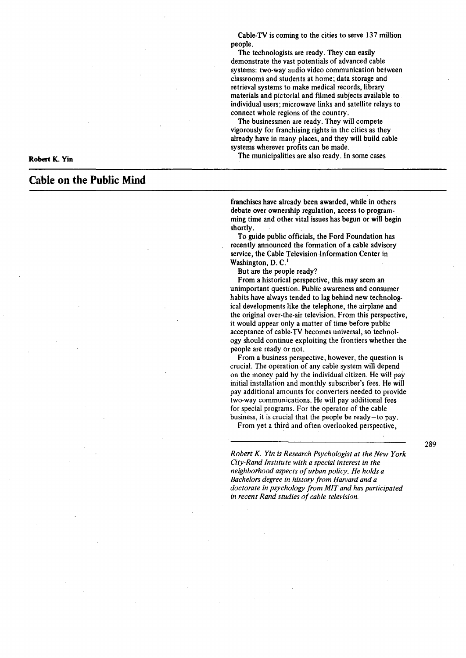Cable-TV is coming to the cities to serve 137 million people.

The technologists are ready. They can easily demonstrate the vast potentials of advanced cable systems: two-way audio video communication between classrooms and students at home; data storage and retrieval systems to make medical records, library materials and pictorial and filmed subjects available to individual users; microwave links and satellite relays to connect whole regions of the country.

The businessmen are ready. They will compete vigorously for franchising rights in the cities as they already have in many places, and they will build cable systems wherever profits can be made.

The municipalities are also ready. In some cases

**Robert K. Yin** 

# **Cable on the Public Mind**

franchises have already been awarded, while in others debate over ownership regulation, access to programming time and other vital issues has begun or will begin shortly.

To guide public officials, the Ford Foundation has recently announced the formation of a cable advisory service, the Cable Television Information Center in Washington, D. C.<sup>1</sup>

But are the people ready?

From a historical perspective, this may seem an unimportant question. Public awareness and consumer habits have always tended to lag behind new technological developments like the telephone, the airplane and the original over-the-air television. From this perspective, it would appear only a matter of time before public acceptance of cable-TV becomes universal, so technology should continue exploiting the frontiers whether the people are ready or not.

From a business perspective, however, the question is crucial. The operation of any cable system will depend on the money paid by the individual citizen. He will pay initial installation and monthly subscriber's fees. He will pay additional amounts for converters needed to provide two-way communications. He will pay additional fees for special programs. For the operator of the cable business, it is crucial that the people be ready-to pay.

From yet a third and often overlooked perspective,

*Robert* K. *Yin is Research Psychologist at the New York City-Rand Institute with a special interest in the neighborhood aspects of urban policy. He holds a Bachelors degree in history from Harvard and a doctorate in psychology from MIT and has participated in recent Rand studies of cable television.* 

289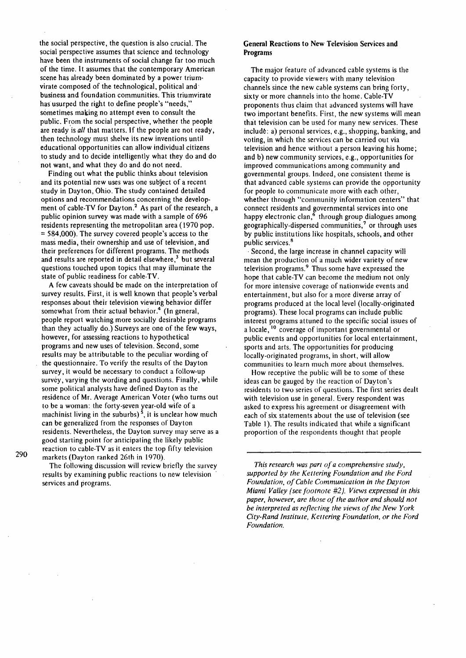the social perspective, the question is also crucial. The social perspective assumes that science and technology have been the instruments of social change far too much of the time. It assumes that the contemporary American scene has already been dominated by a power triumvirate composed of the technological, political and· business and foundation communities. This triumvirate has usurped the right to define people's "needs," sometimes making no attempt even to consult the public. From the social perspective, whether the people are ready is *all* that matters. If the people are not ready, then technology must shelve its new inventions until educational opportunities can allow individual citizens to study and to decide intelligently what they do and do not want, and what they do and do not need.

Finding out what the public thinks about television and its potential new uses was one subject of a recent study in Dayton, Ohio. The study contained detailed options and recommendations concerning the development of cable-TV for Dayton.<sup>2</sup> As part of the research, a public opinion survey was made with a sample of 696 residents representing the metropolitan area (1970 pop.  $=$  584,000). The survey covered people's access to the mass media, their ownership and use of television, and their preferences for different programs. The methods and results are reported in detail elsewhere,<sup>3</sup> but several questions touched upon topics that may illuminate the state of public readiness for cable-TV.

A few caveats should be made on the interpretation of survey results. First, it is well known that people's verbal responses about their television viewing behavior differ somewhat from their actual behavior.<sup>4</sup> (In general, people report watching more socially desirable programs than they actually do.) Surveys are one of the few ways, however, for assessing reactions to hypothetical programs and new uses of television. Second, some results may be attributable to the peculiar wording of the questionnaire. To verify the results of the Dayton survey, it would be necessary to conduct a follow-up survey, varying the wording and questions. Finally, while some political analysts have defined Dayton as the residence of Mr. Average American Voter (who turns out to be a woman: the forty-seven year-old wife of a machinist living in the suburbs)<sup>5</sup>, it is unclear how much can be generalized from the responses of Dayton residents. Nevertheless, the Dayton survey may serve as a good starting point for anticipating the likely public reaction to cable-TV as it enters the top fifty television markets (Dayton ranked 26th in 1970).

The foilowing discussion will review briefly the survey results by examining public reactions lo new television services and programs.

#### General Reactions to New Television Services and Programs

The major feature of advanced cable systems is the capacity to provide viewers with many television channels since the new cable systems can bring forty, sixty or more channels into the home. Cable-TV proponents thus claim that advanced systems will have two important benefits. First, the new systems will mean that television can be used for many new services. These include: a) personal services, e.g., shopping, banking, and voting, in which the services can be carried out via television and hence without a person leaving his home; and b) new community services, e.g., opportunities for improved communications among community and governmental groups. Indeed, one consistent theme is that advanced cable systems can provide the opportunity for people to communicate more with each other, whether through "community information centers" that connect residents and governmental services into one happy electronic clan,<sup>6</sup> through group dialogues among geographically-dispersed communities,<sup> $7$ </sup> or through uses by public institutions like hospitals, schools, and other public services. 8

Second, the large increase in channel capacity will mean the production of a much wider variety of new television programs. 9 Thus some have expressed the hope that cable-TV can become the medium not only for more intensive coverage of nationwide events and entertainment, but also for a more diverse array of programs produced at the local level (locally-originated programs). These local programs can include public interest programs attuned to the specific social issues of a locale,  $10$  coverage of important governmental or public events and opportunities for local entertainment, sports and arts. The opportunities for producing locally-originated programs, in short, will allow communities to learn much more about themselves.

How receptive the public will be to some of these ideas can be gauged by the reaction of Dayton's residents to two series of questions. The first series dealt with television use in general. Every respondent was asked to express his agreement or disagreement with each of six statements about the use of television (see Table I). The results indicated that while a significant proportion of the respondents thought that people

*This research was part of a comprehensive study, supported by the Kettering Foundation and the Ford Foundation, of Cable Communication in the Dayton Miami Valley (see footnote #2). Views expressed in this paper, however, are those of the author and should not be interpreted as reflecting the views of the New York City-Rand Institute, Kettering Foundation, or the Ford Foundation.*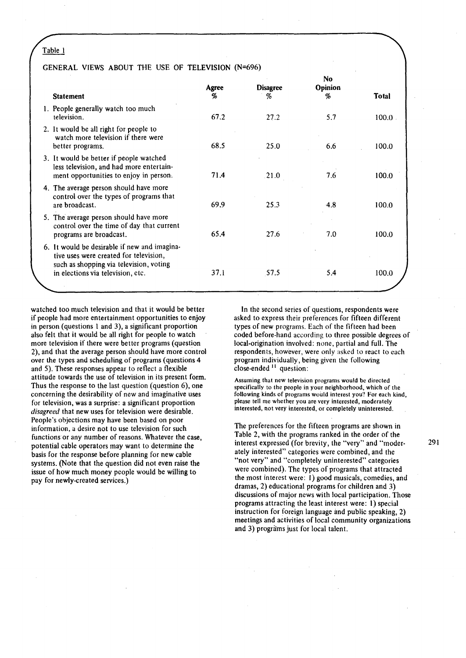# GENERAL VIEWS ABOUT THE USE OF TELEVISION (N=696)

| <b>Statement</b>                                                                                                                                                       | Agree<br>% | <b>Disagree</b><br>% | No<br>Opinion<br>% | <b>Total</b> |
|------------------------------------------------------------------------------------------------------------------------------------------------------------------------|------------|----------------------|--------------------|--------------|
| 1. People generally watch too much<br>television.                                                                                                                      | 67.2       | 27.2                 | 5.7                | $100.0$ .    |
| 2. It would be all right for people to<br>watch more television if there were<br>better programs.                                                                      | 68.5       | 25.0                 | 6.6                | 100.0        |
| 3. It would be better if people watched<br>less television, and had more entertain-<br>ment opportunities to enjoy in person.                                          | 71.4       | .21.0                | 7.6                | 100.0        |
| 4. The average person should have more<br>control over the types of programs that<br>are broadcast.                                                                    | 69.9       | 25.3                 | $-4.8$             | 100.0        |
| 5. The average person should have more<br>control over the time of day that current<br>programs are broadcast.                                                         | 65.4       | 27.6                 | 7.0                | 100.0        |
| 6. It would be desirable if new and imagina-<br>tive uses were created for television,<br>such as shopping via television, voting<br>in elections via television, etc. | 37.1       | 57.5                 | 5.4                | 100.0        |
|                                                                                                                                                                        |            |                      |                    |              |

watched too much television and that it would be better if people had more entertainment opportunities to enjoy in person (questions l and 3), a significant proportion also felt that it would be all right for people to watch more television if there were better programs (question 2), and that the average person should have more control over the types and scheduling of programs (questions 4 and 5). These responses appear to reflect a flexible attitude towards the use of television in its present form. Thus the response to the last question (question 6), one concerning the desirability of new and imaginative uses for television, was a surprise: a significant proportion *disagreed* that new uses for television were desirable. People's objections may have been based on poor information, a desire not to use television for such functions or any number of reasons. Whatever the case, potential cable operators may want to determine the basis for the response before planning for new cable systems. (Note that the question did not even raise the issue of how much money people would be willing to pay for newly-created services.)

In the second series of questions, respondents were asked to express their preferences for fifteen different types of new programs. Each of the fifteen had been coded before-hand according to three possible degrees of local-origination involved: none, partial and full. The respondents, however, were only asked to react to each program individually, being given the following  $close$ -ended  $11$  question:

Assuming that new television programs would be directed specifically to the people in your neighborhood, which of the following kinds of programs would interest you? For each kind, please tell me whether you are very interested, moderately interested, not very interested, or completely uninterested.

The preferences for the fifteen programs are shown in Table 2, with the programs ranked in the order of the interest expressed (for brevity, the "very" and "moderately interested" categories were combined, and the "not very" and "completely uninterested" categories were combined). The types of programs that attracted the most interest were: I) good musicals, comedies, and dramas, 2) educational programs for children and 3) discussions of major news with local participation. Those programs attracting the least interest were: 1) special instruction for foreign language and public speaking, 2) meetings and activities of local community organizations and 3) progràms just for local talent.

291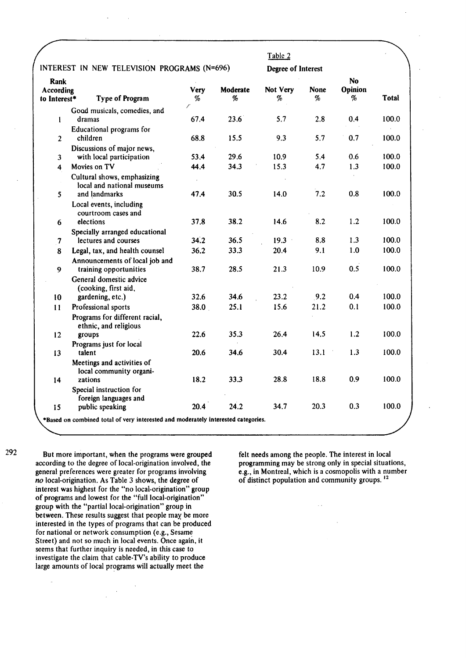|                                          |                                                                                   |           |               | Table 2            |                  |                           |       |
|------------------------------------------|-----------------------------------------------------------------------------------|-----------|---------------|--------------------|------------------|---------------------------|-------|
|                                          | INTEREST IN NEW TELEVISION PROGRAMS (N=696)                                       |           |               | Degree of Interest |                  |                           |       |
| <b>Rank</b><br>According<br>to Interest* | <b>Type of Program</b>                                                            | Verv<br>% | Moderate<br>% | Not Very<br>%      | <b>None</b><br>% | No<br><b>Opinion</b><br>% | Total |
|                                          | Good musicals, comedies, and                                                      |           |               |                    |                  |                           |       |
| $\mathbf{I}$                             | dramas                                                                            | 67.4      | 23.6          | 5.7                | 2.8              | 0.4                       | 100.0 |
|                                          | Educational programs for                                                          |           |               |                    |                  |                           |       |
| $\overline{2}$                           | children                                                                          | 68.8      | 15.5          | 9.3                | 5.7              | 0.7                       | 100.0 |
| $\overline{\mathbf{3}}$                  | Discussions of major news,<br>with local participation                            | 53.4      | 29.6          | 10.9               | 5.4              | 0.6                       | 100.0 |
| 4                                        | Movies on TV                                                                      | 44.4      | 34.3          | 15.3               | 4.7              | 1.3                       | 100.0 |
|                                          |                                                                                   |           |               |                    |                  |                           |       |
|                                          | Cultural shows, emphasizing<br>local and national museums                         |           |               |                    |                  |                           |       |
| 5                                        | and landmarks                                                                     | 47.4      | 30.5          | 14.0               | 7.2              | 0.8                       | 100.0 |
|                                          | Local events, including<br>courtroom cases and                                    |           |               |                    |                  |                           |       |
| 6                                        | elections                                                                         | 37.8      | 38.2          | 14.6               | 8.2              | 1.2                       | 100.0 |
|                                          | Specially arranged educational                                                    |           |               |                    |                  |                           |       |
| $\boldsymbol{\tau}$                      | lectures and courses                                                              | 34.2      | 36.5          | $19.3 -$           | 8.8              | 1.3                       | 100.0 |
| 8                                        | Legal, tax, and health counsel                                                    | 36.2      | 33.3          | 20.4               | 9.1              | 1.0                       | 100.0 |
|                                          | Announcements of local job and                                                    |           |               |                    |                  |                           |       |
| 9                                        | training opportunities                                                            | 38.7      | 28.5          | 21.3               | 10.9             | 0.5                       | 100.0 |
|                                          | General domestic advice                                                           |           |               |                    |                  |                           |       |
|                                          | (cooking, first aid,                                                              |           |               |                    |                  |                           |       |
| 10                                       | gardening, etc.)                                                                  | 32.6      | 34.6          | 23.2               | 9.2              | 0.4                       | 100.0 |
| 11                                       | Professional sports                                                               | 38.0      | 25.1          | 15.6               | 21.2             | 0.1                       | 100.0 |
|                                          | Programs for different racial,<br>ethnic, and religious                           |           |               |                    |                  |                           |       |
| 12                                       | groups                                                                            | 22.6      | 35.3          | 26.4               | 14.5             | 1.2                       | 100.0 |
|                                          | Programs just for local                                                           |           |               |                    |                  |                           |       |
| 13                                       | talent                                                                            | 20.6      | 34.6          | 30.4               | 13.1             | 1.3                       | 100.0 |
|                                          | Meetings and activities of<br>local community organi-                             |           |               |                    |                  |                           |       |
| 14                                       | zations                                                                           | 18.2      | 33.3          | 28.8               | 18.8             | 0.9                       | 100.0 |
|                                          | Special instruction for                                                           |           |               |                    |                  |                           |       |
|                                          | foreign languages and<br>public speaking                                          | 20.4      | 24.2          | 34.7               | 20.3             | 0.3                       | 100.0 |
| 15                                       | *Based on combined total of very interested and moderately interested categories. |           |               |                    |                  |                           |       |

292

But more important, when the programs were grouped according to the degree of local-origination involved, the general preferences were greater for programs involving no local-origination. As Table 3 shows, the degree of interest was highest for the "no local-origination" group of programs and lowest for the "full local-origination" group with the "partial local-origination" group in between. These results suggest that people may be more interested in the types of programs that can be produced for national or network consumption (e.g., Sesame Street) and not so much in local events. Once again, it seems that further inquiry is needed, in this case to investigate the claim that cable-TV's ability to produce large amounts of local programs will actually meet the

felt needs among the people. The interest in local programming may be strong only in special situations, e.g., in Montreal, which is a cosmopolis with a number of distinct population and community groups. <sup>12</sup>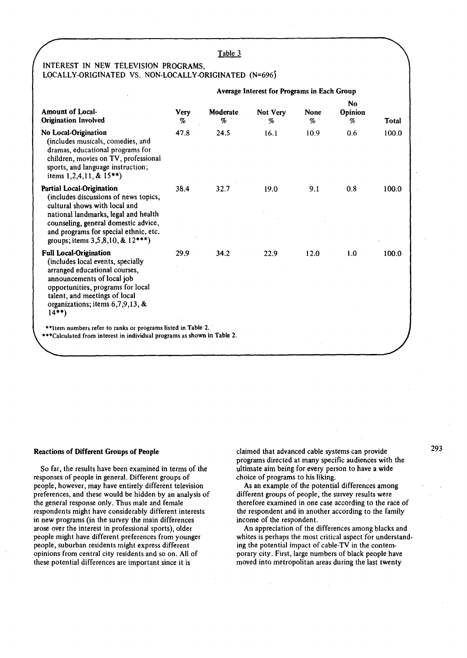# INTEREST IN NEW TELEVISION PROGRAMS, LOCALLY-ORIGINATED VS. NON-LOCALLY-ORIGINATED (N=696}

|                                                                                                                                                                                                                                                                              |                  | Average Interest for Programs in Each Group |               |           |                           |       |
|------------------------------------------------------------------------------------------------------------------------------------------------------------------------------------------------------------------------------------------------------------------------------|------------------|---------------------------------------------|---------------|-----------|---------------------------|-------|
| <b>Amount of Local-</b><br><b>Origination Involved</b>                                                                                                                                                                                                                       | <b>Very</b><br>% | Moderate<br>%                               | Not Very<br>% | None<br>% | <b>No</b><br>Opinion<br>% | Total |
| No Local-Origination<br>(includes musicals, comedies, and<br>dramas, educational programs for<br>children, movies on TV, professional<br>sports, and language instruction;<br>items $1,2,4,11,$ & $15**$ )                                                                   | 47.8             | 24.5                                        | 16.1          | 10.9      | 0.6                       | 100.0 |
| <b>Partial Local-Origination</b><br>(includes discussions of news topics,<br>cultural shows with local and<br>national landmarks, legal and health<br>counseling, general domestic advice,<br>and programs for special ethnic, etc.<br>groups; items $3,5,8,10,$ & $12***$ ) | 38.4             | 32.7                                        | 19.0          | 9.1       | 0.8                       | 100.0 |
| <b>Full Local-Origination</b><br>(includes local events, specially<br>arranged educational courses,<br>announcements of local job<br>opportunities, programs for local<br>talent, and meetings of local<br>organizations; items $6,7,9,13$ , &<br>$14**$                     | 29.9             | 34.2                                        | 22.9          | 12.0      | 1.0                       | 100.0 |
| **Item numbers refer to ranks or programs listed in Table 2.<br>***Calculated from interest in individual programs as shown in Table 2.                                                                                                                                      |                  |                                             |               |           |                           |       |

#### Reactions of Different Groups of People

So far, the results have been examined in terms of the responses of people in general. Different groups of people, however, may have entirely different television preferences, and these would be hidden by an analysis of the general response only. Thus male and female respondents might have considerably different interests in new programs (in the survey the main differences arose over the interest in professional sports), older people might have different preferences from younger people, suburban residents might express different opinions from central city residents and so on. All of these potential differences are important since it is

claimed that advanced cable systems can provide programs directed at many specific audiences with the ultimate aim being for every person to have a wide choice of programs to his liking.

As an example of the potential differences among different groups of people, the survey results were therefore examined in one case according to the race of the respondent and in another according to the family income of the respondent.

An appreciation of the differences among blacks and whites is perhaps the most critical aspect for understanding the potential impact of cable-TV in the contemporary city. First, large numbers of black people have moved into metropolitan areas during the last twenty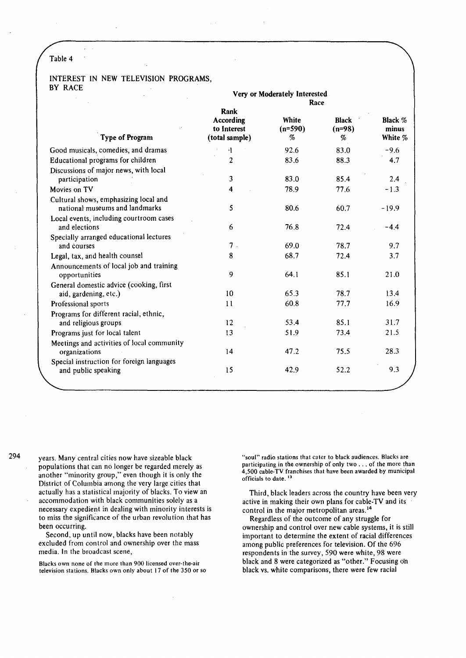J.

### INTEREST IN NEW TELEVISION PROGRAMS, BY RACE

|                                                                         | Very or Moderately Interested                      |                                 |                               |                             |
|-------------------------------------------------------------------------|----------------------------------------------------|---------------------------------|-------------------------------|-----------------------------|
| Type of Program                                                         | Rank<br>According<br>to Interest<br>(total sample) | Race<br>White<br>$(n=590)$<br>% | <b>Black</b><br>$(n=98)$<br>% | Black %<br>minus<br>White % |
| Good musicals, comedies, and dramas                                     | $\cdot$                                            | 92.6                            | 83.0                          | $-9.6$                      |
| Educational programs for children                                       | $\overline{c}$                                     | 83.6                            | 88.3                          | 4.7                         |
| Discussions of major news, with local<br>participation                  | 3                                                  | 83.0                            | 85.4                          | 2.4                         |
| Movies on TV                                                            | 4                                                  | 78.9                            | 77.6                          | $-1.3$                      |
| Cultural shows, emphasizing local and<br>national museums and landmarks | 5                                                  | 80.6                            | 60.7                          | $-19.9$                     |
| Local events, including courtroom cases<br>and elections                | 6                                                  | 76.8                            | 72.4                          | $-4.4$                      |
| Specially arranged educational lectures<br>and courses                  | $7$ .                                              | 69.0                            | 78.7                          | 9.7                         |
| Legal, tax, and health counsel                                          | 8                                                  | 68.7                            | 72.4                          | 3.7                         |
| Announcements of local job and training<br>opportunities                | 9                                                  | 64.1                            | 85.1                          | 21.0                        |
| General domestic advice (cooking, first                                 |                                                    |                                 |                               |                             |
| aid, gardening, etc.)                                                   | 10                                                 | 65.3                            | 78.7                          | 13.4                        |
| Professional sports                                                     | 11                                                 | 60.8                            | 77.7                          | 16.9                        |
| Programs for different racial, ethnic,<br>and religious groups          | 12                                                 | 53.4                            | 85.1                          | 31.7                        |
| Programs just for local talent                                          | 13                                                 | 51.9                            | 73.4                          | 21.5                        |
| Meetings and activities of local community<br>organizations             | 14                                                 | 47.2                            | 75.5                          | 28.3                        |
| Special instruction for foreign languages<br>and public speaking        | 15                                                 | 42.9                            | 52.2                          | 9.3                         |
|                                                                         |                                                    |                                 |                               |                             |

294

years. Many central cities now have sizeable black populations that can no longer be regarded merely as another "minority group," even though it is only the District of Columbia among the very large cities that actually has a statistical majority of blacks. To view an accommodation with black communities solely as a necessary expedient in dealing with minority interests is to miss the significance of the urban revolution that has been occurring.

Second. up until now, blacks have been notably excluded from control and ownership over the mass media. In the broadcast scene,

Blacks own none of the mure than 900 licensed over-the-air television stations. Blacks own only about 17 of the 350 or so "soul" radio stations that cater to black audiences. Blacks are participating in the ownership of only two ... of the more than 4,500 cable-TV franchises that have been awarded by municipal officials to date.<sup>13</sup>

Third, black leaders across the country have been very active in making their own plans for cable-TV and its control in the major metropolitan areas.<sup>14</sup>

Regardless of the outcome of any struggle for ownership and control over new cable systems, it is still important to determine the extent of racial differences among public preferences for television. Of the 696 respondents in the survey, 590 were white, 98 were black and 8 were categorized as "other." Focusing on black vs. white comparisons, there were few racial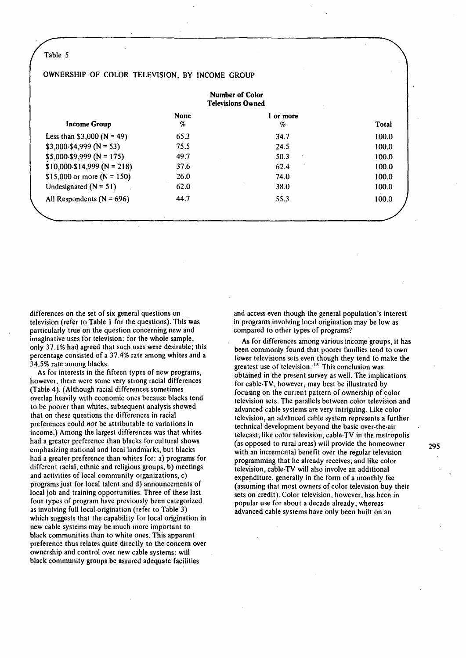# OWNERSHIP OF COLOR TELEVISION, BY INCOME GROUP

|                                | <b>Number of Color</b><br><b>Televisions Owned</b> |                |       |
|--------------------------------|----------------------------------------------------|----------------|-------|
| <b>Income Group</b>            | <b>None</b><br>%                                   | l or more<br>% | Total |
| Less than \$3,000 ( $N = 49$ ) | 65.3                                               | 34.7           | 100.0 |
| $$3,000-S4,999(N=53)$          | 75.5                                               | 24.5           | 100.0 |
| $$5,000-S9,999 (N = 175)$      | 49.7                                               | 50.3           | 100.0 |
| $$10,000-S14,999 (N = 218)$    | 37.6                                               | 62.4           | 100.0 |
| \$15,000 or more $(N = 150)$   | 26.0                                               | 74.0           | 100.0 |
| Undesignated $(N = 51)$        | 62.0                                               | 38.0           | 100.0 |
| All Respondents ( $N = 696$ )  | 44.7                                               | 55.3           | 100.0 |

differences on the set of six general questions on television (refer to Table 1 for the questions). This was particularly true on the question concerning new and imaginative uses for television: for the whole sample, only 37.1% had agreed that such uses were desirable; this percentage consisted of a 37.4% rate among whites and a 34.5% rate among blacks.

As for interests in the fifteen types of new programs, however, there were some very strong racial differences (Table 4). (Although racial differences sometimes overlap heavily with economic ones because blacks tend to be poorer than whites, subsequent analysis showed that on these questions the differences in racial preferences could *not* be attributable to variations in income.) Among the largest differences was that whites had a greater preference than blacks for cultural shows emphasizing national and local landmarks, but blacks had a greater preference than whites for: a) programs for different racial, ethnic and religious groups, b) meetings and activities of local community organizations, c) programs just for local talent and d) announcements of local job and training opportunities. Three of these last four types of program have previously been categorized as involving full local-origination (refer to Table 3) which suggests that the capability for local origination in new cable systems may be much more important to black communities than to white ones. This apparent preference thus relates quite directly to the concern over ownership and control over new cable systems: will black community groups be assured adequate facilities

and access even though the general population's interest in programs involving local origination may be low as compared to other types of programs?

As for differences among various income groups, it has been commonly found that poorer families tend to own fewer televisions sets even though they tend to make the greatest use of television. <sup>15</sup> This conclusion was obtained in the present survey as well. The implications for cable-TV, however, may best be illustrated by focusing on the current pattern of ownership of color television sets. The parallels between color television and advanced cable systems are very intriguing. Like color television, an advanced cable system represents a further technical development beyond the basic over-the-air telecast; like color television, cable-TV in the metropolis (as opposed to rural areas) will provide the homeowner with an incremental benefit over the regular television programming that he already receives; and like color television, cable-TV will also involve an additional expenditure, generally in the form of a monthly fee (assuming that most owners of color television buy their sets on credit). Color television, however, has been in popular use for about a decade already, whereas advanced cable systems have only been built on an

295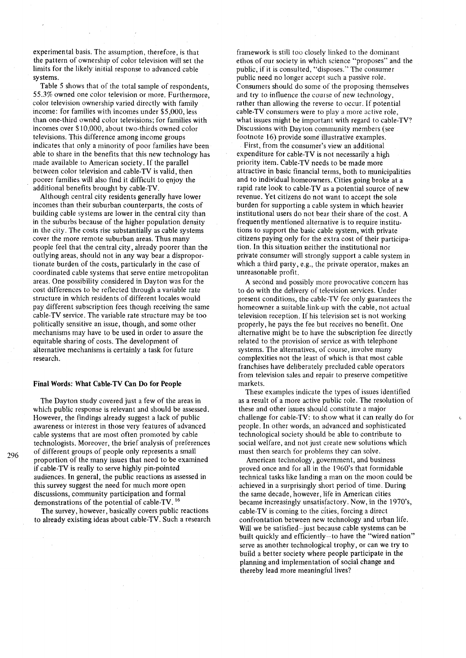experimental basis. The assumption, therefore, is that the pattern of ownership of color television will set the limits for the likely initial response to advanced cable systems.

Table 5 shows that of the total sample of respondents, 55.3% owned one color television or more. Furthermore, color television ownership varied directly with family income: for families with incomes under \$5,000, less than one-third owned color televisions; for families with incomes over \$10,000, about two-thirds owned color televisions. This difference among income groups indicates that only a minority of poor families have been able to share in the benefits that this new technology has made available to American society. If the parallel between color television and cable-TV is valid, then poorer families will also find it difficult to enjoy the additional benefits brought by cable-TV.

Although central city residents generally have lower incomes than their suburban counterparts, the costs of building cable systems are lower in the central city than in the suburbs because of the higher population density in the city. The costs rise substantially as cable systems cover the more remote suburban areas. Thus many people feel that the central city, already poorer than the outlying areas, should not in any way bear a disproportionate burden of the costs, particularly in the case of coordinated cable systems that serve entire metropolitan areas. One possibility considered in Dayton was for the cost differences to be reflected through a variable rate structure in which residents of different locales would pay different subscription fees though receiving the same cable-TV service. The variable rate structure may be too politically sensitive an issue, though, and some other mechanisms may have to be used in order to assure the equitable sharing of costs. The development of alternative mechanisms is certainly a task for future research.

#### **Final Words: What Cable-TV Can Do for People**

The Dayton study covered just a few of the areas in which public response is relevant and should be assessed. However, the findings already suggest a lack of public awareness or interest in those very features of advanced cable systems that are most often promoted by cable technologists. Moreover, the brief analysis of preferences of different groups of people only represents a small proportion of the many issues that need to be examined if cable-TV is really to serve highly pin-pointed audiences. In general, the public reactions as assessed in this survey suggest the need for much more open discussions, community participation and formal demonstrations of the potential of cable-TV. 16

The survey, however, basically covers public reactions to already existing ideas about cable-TV. Such a research framework is still too closely linked to the dominant ethos of our society in which science "proposes" and the public, if it is consulted, "disposes." The consumer public need no longer accept such a passive role. Consumers should do some of the proposing themselves and try to influence the course of new technology, rather than allowing the reverse to occur. If potential cable-TV consumers were to play a more active role, what issues might be important with regard to cable-TV? Discussions with Dayton community members (see footnote 16) provide some illustrative examples.

First, from the consumer's view an additional expenditure for cable-TV is not necessarily a high priority item. Cable-TV needs to be made more attractive in basic financial terms, both to municipalities and to individual homeowners. Cities going broke at a rapid rate look to cable-TV as a potential source of new revenue. Yet citizens do not want to accept the sole burden for supporting a cable system in which heavier institutional users do not bear their share of the cost. A frequently mentioned alternative is to require institutions to support the basic cable system, with private citizens paying only for the extra cost of their participation. In this situation neither the institutional nor private consumer will strongly support a cable system in which a third party, e.g., the private operator, makes an unreasonable profit.

A second and possibly more provocative concern has to do with the delivery of television services. Under present conditions, the cable-TV fee only guarantees the homeowner a suitable link-up with the cable, not actual television reception. If his television set is not working properly, he pays the fee but receives no benefit. One alternative might be to have the subscription fee directly related to the provision of service as with telephone systems. The alternatives, of course, involve many complexities not the least of which is that most cable franchises have deliberately precluded cable operators from television sales and repair to preserve competitive markets.

These examples indicate the types of issues identified as a result of a more active public role. The resolution of these and other issues should constitute a major challenge for cable-TV: to show what it can really do for people. In other words, an advanced and sophisticated technological society should be able to contribute to social welfare, and not just create new solutions which must then search for problems they can solve.

American technology, government, and business proved once and for all in the I 960's that formidable technical tasks like landing a man on the moon could be achieved in a surprisingly short period of time. During the same decade, however, life in American cities became increasingly unsatisfactory. Now, in the 1970's, cable-TV is coming to the cities, forcing a direct confrontation between new technology and urban life. Will we be satisfied-just because cable systems can be built quickly and efficiently-to have the "wired nation" serve as another technological trophy, or can we try to build a better society where people participate in the planning and implementation of social change and thereby lead more meaningful lives?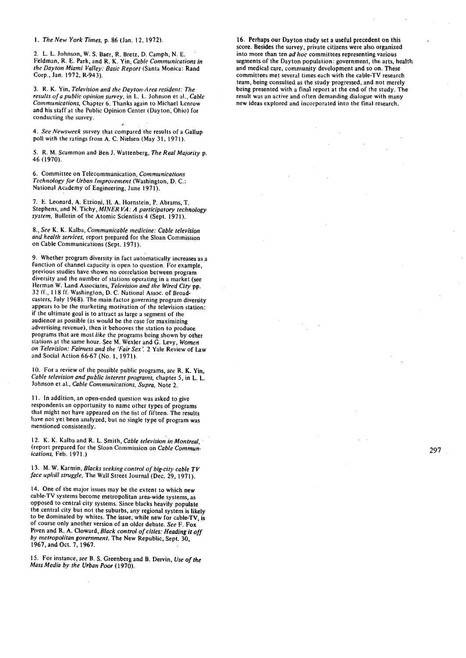I. *The New York Times,* p. 86 (Jan. 12, 1972).

2. L. L. Johnson, W. S. Baer, R. Bretz, D. Camph, N. E. Feldman, R. E. Park, and R. K. Yin, *Cable Communications in the Dayton Miami Valley: Basic Report* (Santa Monica: Rand Corp., Jan. 1972, R-943).

3. R. K. Yin, *Television and the Dayton-Area resident: The results of a public opinion survey,* in L. L. Johnson et al., *Cable Communications,* Chapter 6. Thanks again to Michael Lenrow and his staff at the Public Opinion Center (Dayton; Ohio) for conducting the survey.

4. *See Newsweek* survey that compared the results of a Gallup poll with the ratings from A. C. Nielsen (May 31, 1971).

5. R. M. Scammon and· Ben J. Wattenberg, *The Real Majority* p. 46 ( 1970).

6. Committee on Telecommunication, *Communications Technology for Urban Improvement* (Washington, D. C.: National Academy of Engineering, June 1971).

7. E. Leonard, A. Etzioni, H. A. Hornstein, P. Abrams, T. Stephens, and N. Tichy, *MINER VA: A participatory technology*  system, Bulletin of the Atomic Scientists 4 (Sept. 1971).

8., *See* K. K. Kalba, *Communicable medicine: Cable television and health services,* report prepared for the Sloan Commission on Cable Communications (Sept. 1971).

9. Whether program diversity in fact automatically increases as.a function of channel capacity is open to question. For example, previous studies have shown no correlation between program diversity and the number of stations operating in a market (see Herman W. Land Associates, *Television and the Wired City* pp. 32 ff., 118 ff. Washington, D. C. National Assoc. of Broadcasters, July 1968). The main.factor governing program diversity appears to be the marketing motivation of the television station: if the ultimate goal is to attract as large a segment of the audience as possible (as would be the case for maximizing advertising revenue), then it behooves the station to produce programs that are most *like* the programs being shown by other stations at the same hour. See M. Wexler and G. Levy, Women *on Television: Fairness and the 'Fair Sex'.* 2 Yale Review of Law and Social Action 66-67 (No. 1, 1971).

10. For a review of the possible public programs, *see* R. K. Yin, *Cable television and public interest programs,* chapter 5, in L. L. Johnson et al., *Cable Communications, Supra,* Note 2.

11. In addition, an open-ended question was asked to give respondents an opportunity to name other types of programs that might not have appeared on the list of fifteen. The results have not yet been analyzed, but no single type of program was mentioned consistently.

12. K. K. Kalba and R. L. Smith, *Cable television in Montreal,* · (report prepared for the Sloan Commission on *Cable Communications,* Feb. 1971.)

13. M. W. Karmin, *Blacks seeking control of big-city cable TV face uphill struggle,* The Wall Street Journal (Dec. 29, 1971).

14. One of the major issues may be the extent to which new cable-TV systems become metropolitan area-wide systems, as opposed to central city systems. Since blacks heavily populate the central city but not the suburbs, any regional system is likely to be dominated by whites. The issue, while new for cable-TV, is of course only another version of an older debate. *See* F. Fox Piven and R. A. Cloward, *Black control of cities: Heading it off by metropolitan government,* The New Republic, Sept. 30, 1967, and Oct. 7, 1967.

15. For instance, *see* B. S. Greenberg and B. Dervin, *Use of the Mass Media by the Urban Poor* ( 1970).

16. Perhaps our Dayton study set a useful precedent on this score. Besides the survey, private citizens were also organized into more than ten *ad hoc* committees representing various segments of the Dayton population: government, the arts, health and medical care, community development and so on. These committees met several times each with the cable-TV research team, being consulted as the study progressed, and not merely being presented with a final report at the end of the study. The result was an active and often demanding dialogue with many new ideas explored and incorporated into the final research.